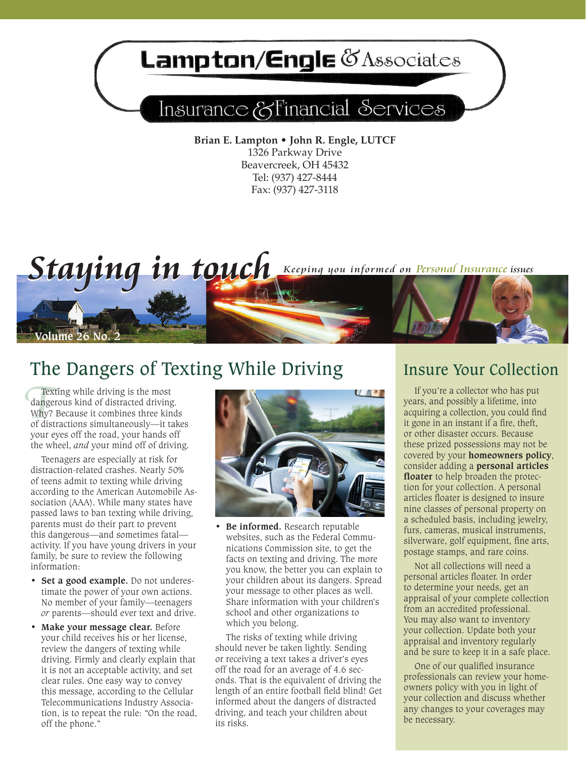# **Lampton/Engle @Associates**

## Insurance & Financial Services

**Brian E. Lampton • John R. Engle, LUTCF** 1326 Parkway Drive Beavercreek, OH 45432 Tel: (937) 427-8444 Fax: (937) 427-3118



## The Dangers of Texting While Driving Insure Your Collection

Tex<br>dange<br>Why?<br>of dis Texting while driving is the most dangerous kind of distracted driving. Why? Because it combines three kinds of distractions simultaneously—it takes your eyes off the road, your hands off the wheel, *and* your mind off of driving.

Teenagers are especially at risk for distraction-related crashes. Nearly 50% of teens admit to texting while driving according to the American Automobile Association (AAA). While many states have passed laws to ban texting while driving, parents must do their part to prevent this dangerous—and sometimes fatal activity. If you have young drivers in your family, be sure to review the following information:

- **• Set a good example.** Do not underestimate the power of your own actions. No member of your family—teenagers *or* parents—should ever text and drive.
- **Make your message clear.** Before your child receives his or her license, review the dangers of texting while driving. Firmly and clearly explain that it is not an acceptable activity, and set clear rules. One easy way to convey this message, according to the Cellular Telecommunications Industry Association, is to repeat the rule: "On the road, off the phone."



**• Be informed.** Research reputable websites, such as the Federal Communications Commission site, to get the facts on texting and driving. The more you know, the better you can explain to your children about its dangers. Spread your message to other places as well. Share information with your children's school and other organizations to which you belong.

The risks of texting while driving should never be taken lightly. Sending or receiving a text takes a driver's eyes off the road for an average of 4.6 seconds. That is the equivalent of driving the length of an entire football field blind! Get informed about the dangers of distracted driving, and teach your children about its risks.

If you're a collector who has put years, and possibly a lifetime, into acquiring a collection, you could find it gone in an instant if a fire, theft, or other disaster occurs. Because these prized possessions may not be covered by your **homeowners policy**, consider adding a **personal articles floater** to help broaden the protection for your collection. A personal articles floater is designed to insure nine classes of personal property on a scheduled basis, including jewelry, furs, cameras, musical instruments, silverware, golf equipment, fine arts, postage stamps, and rare coins.

Not all collections will need a personal articles floater. In order to determine your needs, get an appraisal of your complete collection from an accredited professional. You may also want to inventory your collection. Update both your appraisal and inventory regularly and be sure to keep it in a safe place.

One of our qualified insurance professionals can review your homeowners policy with you in light of your collection and discuss whether any changes to your coverages may be necessary.